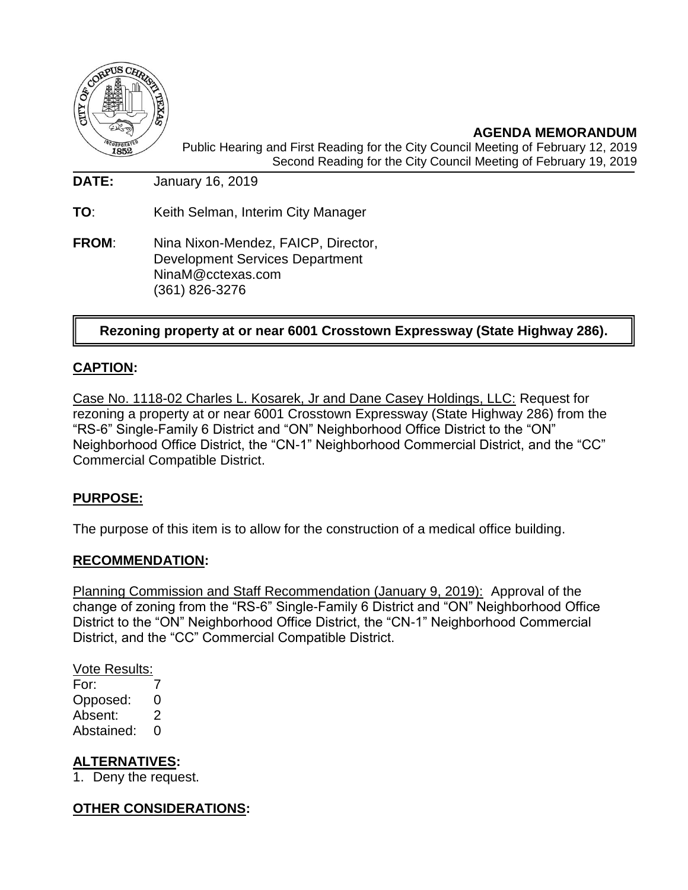

**AGENDA MEMORANDUM** Public Hearing and First Reading for the City Council Meeting of February 12, 2019 Second Reading for the City Council Meeting of February 19, 2019

**DATE:** January 16, 2019

**TO**: Keith Selman, Interim City Manager

**FROM**: Nina Nixon-Mendez, FAICP, Director, Development Services Department NinaM@cctexas.com (361) 826-3276

# **Rezoning property at or near 6001 Crosstown Expressway (State Highway 286).**

## **CAPTION:**

Case No. 1118-02 Charles L. Kosarek, Jr and Dane Casey Holdings, LLC: Request for rezoning a property at or near 6001 Crosstown Expressway (State Highway 286) from the "RS-6" Single-Family 6 District and "ON" Neighborhood Office District to the "ON" Neighborhood Office District, the "CN-1" Neighborhood Commercial District, and the "CC" Commercial Compatible District.

### **PURPOSE:**

The purpose of this item is to allow for the construction of a medical office building.

### **RECOMMENDATION:**

Planning Commission and Staff Recommendation (January 9, 2019): Approval of the change of zoning from the "RS-6" Single-Family 6 District and "ON" Neighborhood Office District to the "ON" Neighborhood Office District, the "CN-1" Neighborhood Commercial District, and the "CC" Commercial Compatible District.

Vote Results:

For: 7 Opposed: 0 Absent: 2 Abstained: 0

### **ALTERNATIVES:**

1. Deny the request.

## **OTHER CONSIDERATIONS:**